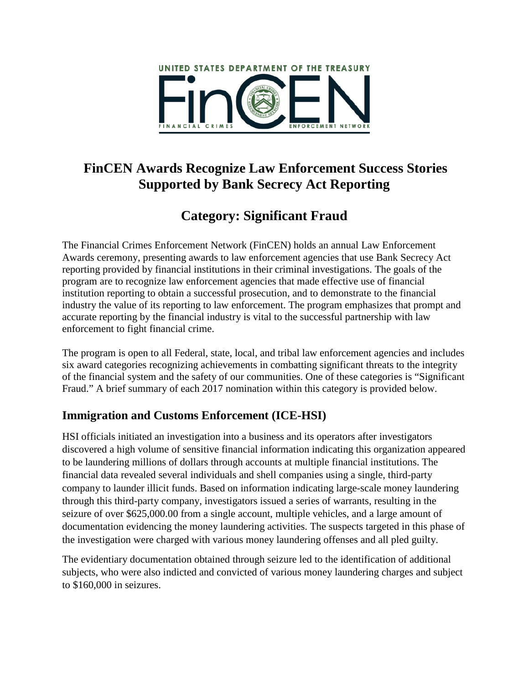

# **FinCEN Awards Recognize Law Enforcement Success Stories Supported by Bank Secrecy Act Reporting**

# **Category: Significant Fraud**

The Financial Crimes Enforcement Network (FinCEN) holds an annual Law Enforcement Awards ceremony, presenting awards to law enforcement agencies that use Bank Secrecy Act reporting provided by financial institutions in their criminal investigations. The goals of the program are to recognize law enforcement agencies that made effective use of financial institution reporting to obtain a successful prosecution, and to demonstrate to the financial industry the value of its reporting to law enforcement. The program emphasizes that prompt and accurate reporting by the financial industry is vital to the successful partnership with law enforcement to fight financial crime.

The program is open to all Federal, state, local, and tribal law enforcement agencies and includes six award categories recognizing achievements in combatting significant threats to the integrity of the financial system and the safety of our communities. One of these categories is "Significant Fraud." A brief summary of each 2017 nomination within this category is provided below.

## **Immigration and Customs Enforcement (ICE-HSI)**

HSI officials initiated an investigation into a business and its operators after investigators discovered a high volume of sensitive financial information indicating this organization appeared to be laundering millions of dollars through accounts at multiple financial institutions. The financial data revealed several individuals and shell companies using a single, third-party company to launder illicit funds. Based on information indicating large-scale money laundering through this third-party company, investigators issued a series of warrants, resulting in the seizure of over \$625,000.00 from a single account, multiple vehicles, and a large amount of documentation evidencing the money laundering activities. The suspects targeted in this phase of the investigation were charged with various money laundering offenses and all pled guilty.

The evidentiary documentation obtained through seizure led to the identification of additional subjects, who were also indicted and convicted of various money laundering charges and subject to \$160,000 in seizures.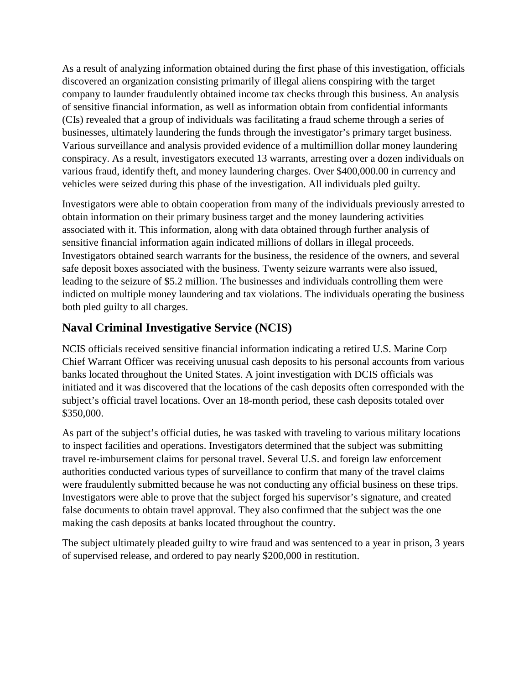As a result of analyzing information obtained during the first phase of this investigation, officials discovered an organization consisting primarily of illegal aliens conspiring with the target company to launder fraudulently obtained income tax checks through this business. An analysis of sensitive financial information, as well as information obtain from confidential informants (CIs) revealed that a group of individuals was facilitating a fraud scheme through a series of businesses, ultimately laundering the funds through the investigator's primary target business. Various surveillance and analysis provided evidence of a multimillion dollar money laundering conspiracy. As a result, investigators executed 13 warrants, arresting over a dozen individuals on various fraud, identify theft, and money laundering charges. Over \$400,000.00 in currency and vehicles were seized during this phase of the investigation. All individuals pled guilty.

Investigators were able to obtain cooperation from many of the individuals previously arrested to obtain information on their primary business target and the money laundering activities associated with it. This information, along with data obtained through further analysis of sensitive financial information again indicated millions of dollars in illegal proceeds. Investigators obtained search warrants for the business, the residence of the owners, and several safe deposit boxes associated with the business. Twenty seizure warrants were also issued, leading to the seizure of \$5.2 million. The businesses and individuals controlling them were indicted on multiple money laundering and tax violations. The individuals operating the business both pled guilty to all charges.

#### **Naval Criminal Investigative Service (NCIS)**

NCIS officials received sensitive financial information indicating a retired U.S. Marine Corp Chief Warrant Officer was receiving unusual cash deposits to his personal accounts from various banks located throughout the United States. A joint investigation with DCIS officials was initiated and it was discovered that the locations of the cash deposits often corresponded with the subject's official travel locations. Over an 18-month period, these cash deposits totaled over \$350,000.

As part of the subject's official duties, he was tasked with traveling to various military locations to inspect facilities and operations. Investigators determined that the subject was submitting travel re-imbursement claims for personal travel. Several U.S. and foreign law enforcement authorities conducted various types of surveillance to confirm that many of the travel claims were fraudulently submitted because he was not conducting any official business on these trips. Investigators were able to prove that the subject forged his supervisor's signature, and created false documents to obtain travel approval. They also confirmed that the subject was the one making the cash deposits at banks located throughout the country.

The subject ultimately pleaded guilty to wire fraud and was sentenced to a year in prison, 3 years of supervised release, and ordered to pay nearly \$200,000 in restitution.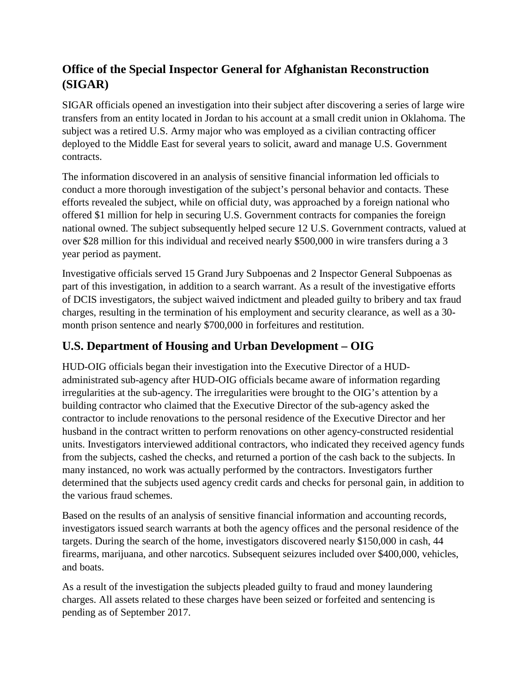### **Office of the Special Inspector General for Afghanistan Reconstruction (SIGAR)**

SIGAR officials opened an investigation into their subject after discovering a series of large wire transfers from an entity located in Jordan to his account at a small credit union in Oklahoma. The subject was a retired U.S. Army major who was employed as a civilian contracting officer deployed to the Middle East for several years to solicit, award and manage U.S. Government contracts.

The information discovered in an analysis of sensitive financial information led officials to conduct a more thorough investigation of the subject's personal behavior and contacts. These efforts revealed the subject, while on official duty, was approached by a foreign national who offered \$1 million for help in securing U.S. Government contracts for companies the foreign national owned. The subject subsequently helped secure 12 U.S. Government contracts, valued at over \$28 million for this individual and received nearly \$500,000 in wire transfers during a 3 year period as payment.

Investigative officials served 15 Grand Jury Subpoenas and 2 Inspector General Subpoenas as part of this investigation, in addition to a search warrant. As a result of the investigative efforts of DCIS investigators, the subject waived indictment and pleaded guilty to bribery and tax fraud charges, resulting in the termination of his employment and security clearance, as well as a 30 month prison sentence and nearly \$700,000 in forfeitures and restitution.

## **U.S. Department of Housing and Urban Development – OIG**

HUD-OIG officials began their investigation into the Executive Director of a HUDadministrated sub-agency after HUD-OIG officials became aware of information regarding irregularities at the sub-agency. The irregularities were brought to the OIG's attention by a building contractor who claimed that the Executive Director of the sub-agency asked the contractor to include renovations to the personal residence of the Executive Director and her husband in the contract written to perform renovations on other agency-constructed residential units. Investigators interviewed additional contractors, who indicated they received agency funds from the subjects, cashed the checks, and returned a portion of the cash back to the subjects. In many instanced, no work was actually performed by the contractors. Investigators further determined that the subjects used agency credit cards and checks for personal gain, in addition to the various fraud schemes.

Based on the results of an analysis of sensitive financial information and accounting records, investigators issued search warrants at both the agency offices and the personal residence of the targets. During the search of the home, investigators discovered nearly \$150,000 in cash, 44 firearms, marijuana, and other narcotics. Subsequent seizures included over \$400,000, vehicles, and boats.

As a result of the investigation the subjects pleaded guilty to fraud and money laundering charges. All assets related to these charges have been seized or forfeited and sentencing is pending as of September 2017.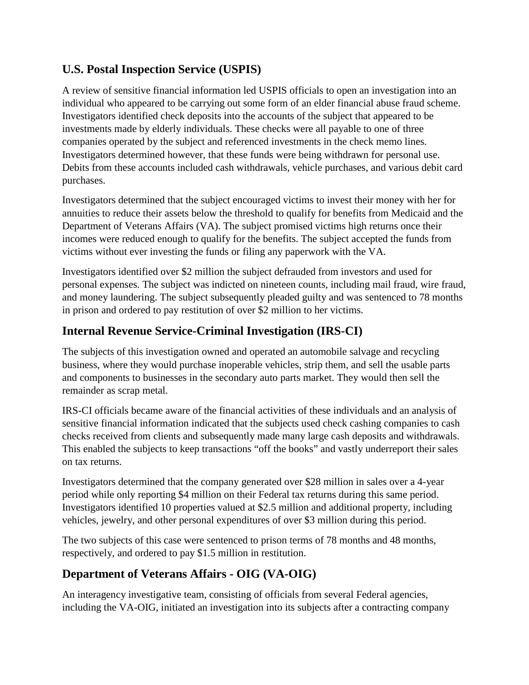#### **U.S. Postal Inspection Service (USPIS)**

A review of sensitive financial information led USPIS officials to open an investigation into an individual who appeared to be carrying out some form of an elder financial abuse fraud scheme. Investigators identified check deposits into the accounts of the subject that appeared to be investments made by elderly individuals. These checks were all payable to one of three companies operated by the subject and referenced investments in the check memo lines. Investigators determined however, that these funds were being withdrawn for personal use. Debits from these accounts included cash withdrawals, vehicle purchases, and various debit card purchases.

Investigators determined that the subject encouraged victims to invest their money with her for annuities to reduce their assets below the threshold to qualify for benefits from Medicaid and the Department of Veterans Affairs (VA). The subject promised victims high returns once their incomes were reduced enough to qualify for the benefits. The subject accepted the funds from victims without ever investing the funds or filing any paperwork with the VA.

Investigators identified over \$2 million the subject defrauded from investors and used for personal expenses. The subject was indicted on nineteen counts, including mail fraud, wire fraud, and money laundering. The subject subsequently pleaded guilty and was sentenced to 78 months in prison and ordered to pay restitution of over \$2 million to her victims.

#### **Internal Revenue Service-Criminal Investigation (IRS-CI)**

The subjects of this investigation owned and operated an automobile salvage and recycling business, where they would purchase inoperable vehicles, strip them, and sell the usable parts and components to businesses in the secondary auto parts market. They would then sell the remainder as scrap metal.

IRS-CI officials became aware of the financial activities of these individuals and an analysis of sensitive financial information indicated that the subjects used check cashing companies to cash checks received from clients and subsequently made many large cash deposits and withdrawals. This enabled the subjects to keep transactions "off the books" and vastly underreport their sales on tax returns.

Investigators determined that the company generated over \$28 million in sales over a 4-year period while only reporting \$4 million on their Federal tax returns during this same period. Investigators identified 10 properties valued at \$2.5 million and additional property, including vehicles, jewelry, and other personal expenditures of over \$3 million during this period.

The two subjects of this case were sentenced to prison terms of 78 months and 48 months, respectively, and ordered to pay \$1.5 million in restitution.

#### **Department of Veterans Affairs - OIG (VA-OIG)**

An interagency investigative team, consisting of officials from several Federal agencies, including the VA-OIG, initiated an investigation into its subjects after a contracting company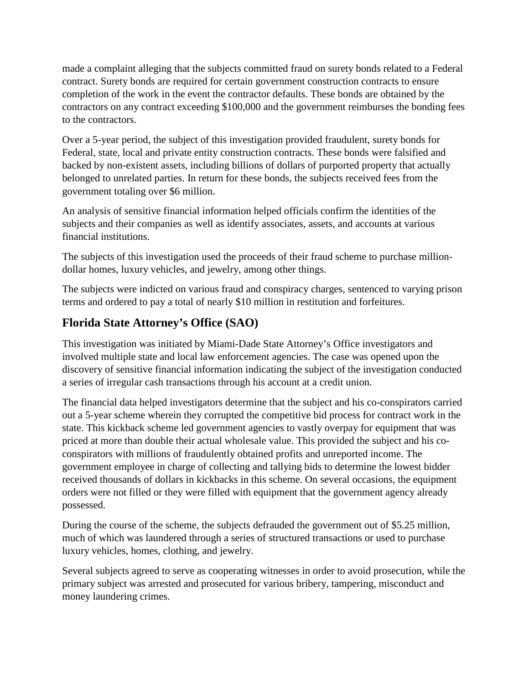made a complaint alleging that the subjects committed fraud on surety bonds related to a Federal contract. Surety bonds are required for certain government construction contracts to ensure completion of the work in the event the contractor defaults. These bonds are obtained by the contractors on any contract exceeding \$100,000 and the government reimburses the bonding fees to the contractors.

Over a 5-year period, the subject of this investigation provided fraudulent, surety bonds for Federal, state, local and private entity construction contracts. These bonds were falsified and backed by non-existent assets, including billions of dollars of purported property that actually belonged to unrelated parties. In return for these bonds, the subjects received fees from the government totaling over \$6 million.

An analysis of sensitive financial information helped officials confirm the identities of the subjects and their companies as well as identify associates, assets, and accounts at various financial institutions.

The subjects of this investigation used the proceeds of their fraud scheme to purchase milliondollar homes, luxury vehicles, and jewelry, among other things.

The subjects were indicted on various fraud and conspiracy charges, sentenced to varying prison terms and ordered to pay a total of nearly \$10 million in restitution and forfeitures.

## **Florida State Attorney's Office (SAO)**

This investigation was initiated by Miami-Dade State Attorney's Office investigators and involved multiple state and local law enforcement agencies. The case was opened upon the discovery of sensitive financial information indicating the subject of the investigation conducted a series of irregular cash transactions through his account at a credit union.

The financial data helped investigators determine that the subject and his co-conspirators carried out a 5-year scheme wherein they corrupted the competitive bid process for contract work in the state. This kickback scheme led government agencies to vastly overpay for equipment that was priced at more than double their actual wholesale value. This provided the subject and his coconspirators with millions of fraudulently obtained profits and unreported income. The government employee in charge of collecting and tallying bids to determine the lowest bidder received thousands of dollars in kickbacks in this scheme. On several occasions, the equipment orders were not filled or they were filled with equipment that the government agency already possessed.

During the course of the scheme, the subjects defrauded the government out of \$5.25 million, much of which was laundered through a series of structured transactions or used to purchase luxury vehicles, homes, clothing, and jewelry.

Several subjects agreed to serve as cooperating witnesses in order to avoid prosecution, while the primary subject was arrested and prosecuted for various bribery, tampering, misconduct and money laundering crimes.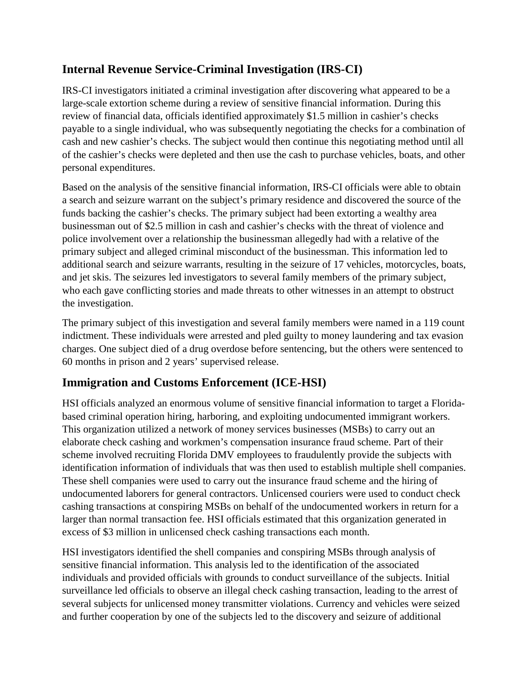#### **Internal Revenue Service-Criminal Investigation (IRS-CI)**

IRS-CI investigators initiated a criminal investigation after discovering what appeared to be a large-scale extortion scheme during a review of sensitive financial information. During this review of financial data, officials identified approximately \$1.5 million in cashier's checks payable to a single individual, who was subsequently negotiating the checks for a combination of cash and new cashier's checks. The subject would then continue this negotiating method until all of the cashier's checks were depleted and then use the cash to purchase vehicles, boats, and other personal expenditures.

Based on the analysis of the sensitive financial information, IRS-CI officials were able to obtain a search and seizure warrant on the subject's primary residence and discovered the source of the funds backing the cashier's checks. The primary subject had been extorting a wealthy area businessman out of \$2.5 million in cash and cashier's checks with the threat of violence and police involvement over a relationship the businessman allegedly had with a relative of the primary subject and alleged criminal misconduct of the businessman. This information led to additional search and seizure warrants, resulting in the seizure of 17 vehicles, motorcycles, boats, and jet skis. The seizures led investigators to several family members of the primary subject, who each gave conflicting stories and made threats to other witnesses in an attempt to obstruct the investigation.

The primary subject of this investigation and several family members were named in a 119 count indictment. These individuals were arrested and pled guilty to money laundering and tax evasion charges. One subject died of a drug overdose before sentencing, but the others were sentenced to 60 months in prison and 2 years' supervised release.

#### **Immigration and Customs Enforcement (ICE-HSI)**

HSI officials analyzed an enormous volume of sensitive financial information to target a Floridabased criminal operation hiring, harboring, and exploiting undocumented immigrant workers. This organization utilized a network of money services businesses (MSBs) to carry out an elaborate check cashing and workmen's compensation insurance fraud scheme. Part of their scheme involved recruiting Florida DMV employees to fraudulently provide the subjects with identification information of individuals that was then used to establish multiple shell companies. These shell companies were used to carry out the insurance fraud scheme and the hiring of undocumented laborers for general contractors. Unlicensed couriers were used to conduct check cashing transactions at conspiring MSBs on behalf of the undocumented workers in return for a larger than normal transaction fee. HSI officials estimated that this organization generated in excess of \$3 million in unlicensed check cashing transactions each month.

HSI investigators identified the shell companies and conspiring MSBs through analysis of sensitive financial information. This analysis led to the identification of the associated individuals and provided officials with grounds to conduct surveillance of the subjects. Initial surveillance led officials to observe an illegal check cashing transaction, leading to the arrest of several subjects for unlicensed money transmitter violations. Currency and vehicles were seized and further cooperation by one of the subjects led to the discovery and seizure of additional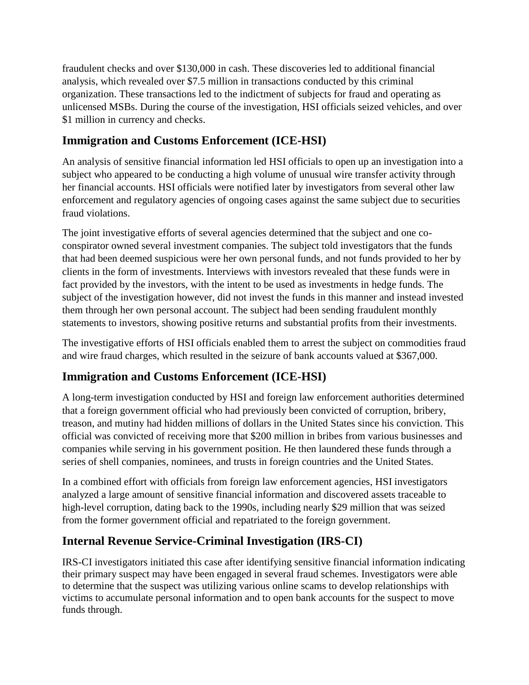fraudulent checks and over \$130,000 in cash. These discoveries led to additional financial analysis, which revealed over \$7.5 million in transactions conducted by this criminal organization. These transactions led to the indictment of subjects for fraud and operating as unlicensed MSBs. During the course of the investigation, HSI officials seized vehicles, and over \$1 million in currency and checks.

### **Immigration and Customs Enforcement (ICE-HSI)**

An analysis of sensitive financial information led HSI officials to open up an investigation into a subject who appeared to be conducting a high volume of unusual wire transfer activity through her financial accounts. HSI officials were notified later by investigators from several other law enforcement and regulatory agencies of ongoing cases against the same subject due to securities fraud violations.

The joint investigative efforts of several agencies determined that the subject and one coconspirator owned several investment companies. The subject told investigators that the funds that had been deemed suspicious were her own personal funds, and not funds provided to her by clients in the form of investments. Interviews with investors revealed that these funds were in fact provided by the investors, with the intent to be used as investments in hedge funds. The subject of the investigation however, did not invest the funds in this manner and instead invested them through her own personal account. The subject had been sending fraudulent monthly statements to investors, showing positive returns and substantial profits from their investments.

The investigative efforts of HSI officials enabled them to arrest the subject on commodities fraud and wire fraud charges, which resulted in the seizure of bank accounts valued at \$367,000.

## **Immigration and Customs Enforcement (ICE-HSI)**

A long-term investigation conducted by HSI and foreign law enforcement authorities determined that a foreign government official who had previously been convicted of corruption, bribery, treason, and mutiny had hidden millions of dollars in the United States since his conviction. This official was convicted of receiving more that \$200 million in bribes from various businesses and companies while serving in his government position. He then laundered these funds through a series of shell companies, nominees, and trusts in foreign countries and the United States.

In a combined effort with officials from foreign law enforcement agencies, HSI investigators analyzed a large amount of sensitive financial information and discovered assets traceable to high-level corruption, dating back to the 1990s, including nearly \$29 million that was seized from the former government official and repatriated to the foreign government.

#### **Internal Revenue Service-Criminal Investigation (IRS-CI)**

IRS-CI investigators initiated this case after identifying sensitive financial information indicating their primary suspect may have been engaged in several fraud schemes. Investigators were able to determine that the suspect was utilizing various online scams to develop relationships with victims to accumulate personal information and to open bank accounts for the suspect to move funds through.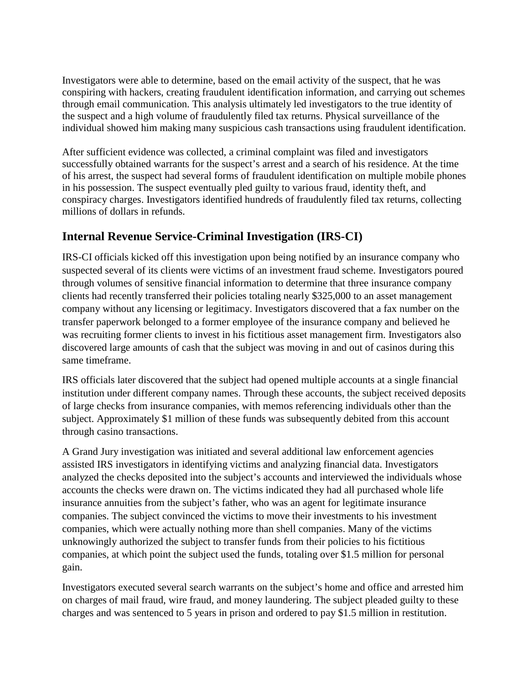Investigators were able to determine, based on the email activity of the suspect, that he was conspiring with hackers, creating fraudulent identification information, and carrying out schemes through email communication. This analysis ultimately led investigators to the true identity of the suspect and a high volume of fraudulently filed tax returns. Physical surveillance of the individual showed him making many suspicious cash transactions using fraudulent identification.

After sufficient evidence was collected, a criminal complaint was filed and investigators successfully obtained warrants for the suspect's arrest and a search of his residence. At the time of his arrest, the suspect had several forms of fraudulent identification on multiple mobile phones in his possession. The suspect eventually pled guilty to various fraud, identity theft, and conspiracy charges. Investigators identified hundreds of fraudulently filed tax returns, collecting millions of dollars in refunds.

#### **Internal Revenue Service-Criminal Investigation (IRS-CI)**

IRS-CI officials kicked off this investigation upon being notified by an insurance company who suspected several of its clients were victims of an investment fraud scheme. Investigators poured through volumes of sensitive financial information to determine that three insurance company clients had recently transferred their policies totaling nearly \$325,000 to an asset management company without any licensing or legitimacy. Investigators discovered that a fax number on the transfer paperwork belonged to a former employee of the insurance company and believed he was recruiting former clients to invest in his fictitious asset management firm. Investigators also discovered large amounts of cash that the subject was moving in and out of casinos during this same timeframe.

IRS officials later discovered that the subject had opened multiple accounts at a single financial institution under different company names. Through these accounts, the subject received deposits of large checks from insurance companies, with memos referencing individuals other than the subject. Approximately \$1 million of these funds was subsequently debited from this account through casino transactions.

A Grand Jury investigation was initiated and several additional law enforcement agencies assisted IRS investigators in identifying victims and analyzing financial data. Investigators analyzed the checks deposited into the subject's accounts and interviewed the individuals whose accounts the checks were drawn on. The victims indicated they had all purchased whole life insurance annuities from the subject's father, who was an agent for legitimate insurance companies. The subject convinced the victims to move their investments to his investment companies, which were actually nothing more than shell companies. Many of the victims unknowingly authorized the subject to transfer funds from their policies to his fictitious companies, at which point the subject used the funds, totaling over \$1.5 million for personal gain.

Investigators executed several search warrants on the subject's home and office and arrested him on charges of mail fraud, wire fraud, and money laundering. The subject pleaded guilty to these charges and was sentenced to 5 years in prison and ordered to pay \$1.5 million in restitution.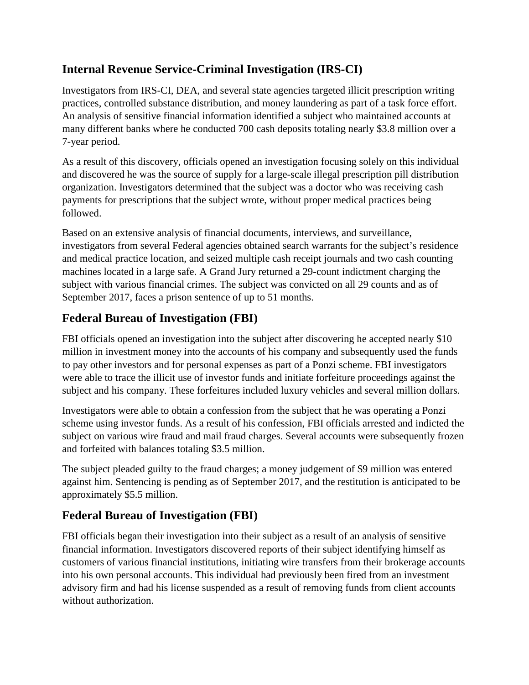### **Internal Revenue Service-Criminal Investigation (IRS-CI)**

Investigators from IRS-CI, DEA, and several state agencies targeted illicit prescription writing practices, controlled substance distribution, and money laundering as part of a task force effort. An analysis of sensitive financial information identified a subject who maintained accounts at many different banks where he conducted 700 cash deposits totaling nearly \$3.8 million over a 7-year period.

As a result of this discovery, officials opened an investigation focusing solely on this individual and discovered he was the source of supply for a large-scale illegal prescription pill distribution organization. Investigators determined that the subject was a doctor who was receiving cash payments for prescriptions that the subject wrote, without proper medical practices being followed.

Based on an extensive analysis of financial documents, interviews, and surveillance, investigators from several Federal agencies obtained search warrants for the subject's residence and medical practice location, and seized multiple cash receipt journals and two cash counting machines located in a large safe. A Grand Jury returned a 29-count indictment charging the subject with various financial crimes. The subject was convicted on all 29 counts and as of September 2017, faces a prison sentence of up to 51 months.

## **Federal Bureau of Investigation (FBI)**

FBI officials opened an investigation into the subject after discovering he accepted nearly \$10 million in investment money into the accounts of his company and subsequently used the funds to pay other investors and for personal expenses as part of a Ponzi scheme. FBI investigators were able to trace the illicit use of investor funds and initiate forfeiture proceedings against the subject and his company. These forfeitures included luxury vehicles and several million dollars.

Investigators were able to obtain a confession from the subject that he was operating a Ponzi scheme using investor funds. As a result of his confession, FBI officials arrested and indicted the subject on various wire fraud and mail fraud charges. Several accounts were subsequently frozen and forfeited with balances totaling \$3.5 million.

The subject pleaded guilty to the fraud charges; a money judgement of \$9 million was entered against him. Sentencing is pending as of September 2017, and the restitution is anticipated to be approximately \$5.5 million.

## **Federal Bureau of Investigation (FBI)**

FBI officials began their investigation into their subject as a result of an analysis of sensitive financial information. Investigators discovered reports of their subject identifying himself as customers of various financial institutions, initiating wire transfers from their brokerage accounts into his own personal accounts. This individual had previously been fired from an investment advisory firm and had his license suspended as a result of removing funds from client accounts without authorization.